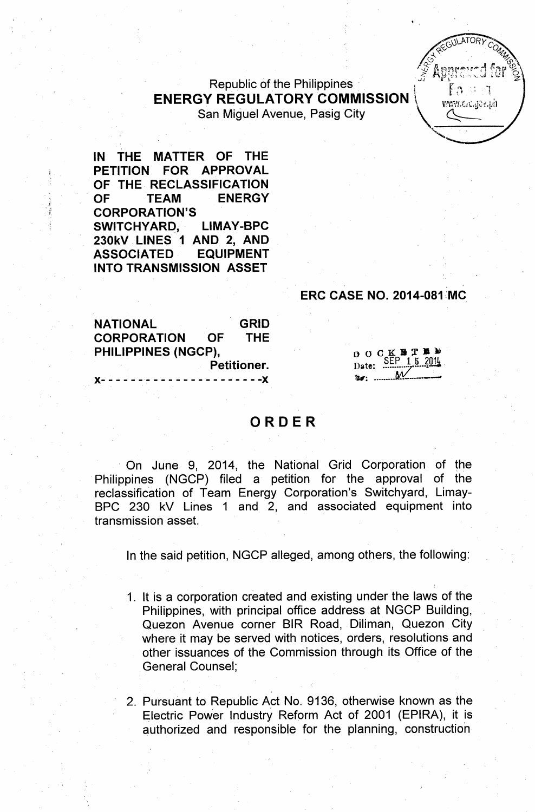## , ,'~ Mb~.;~~;,,\_\_d l;(d 9 Republic of the Philippines<br> $\begin{bmatrix} 1 & 1 \\ 1 & 2 \end{bmatrix}$  $ENERGY REGULATORY COMMISSION \$ San Miguel Avenue, Pasig City \ *V~1.~!1*

IN THE MATTER OF THE PETITION FOR APPROVAL OF THE RECLASSIFICATION OF TEAM ENERGY *'t* CORPORATION'S SWITCHYARD, LIMAY-BPC 230kV LINES 1 AND 2, AND ASSOCIATED EQUIPMENT INTO TRANSMISSION ASSET

## **ERC CASE NO. 2014-081 MC**

NATIONAL GRID CORPORATION OF THE PHILIPPINES (NGCP), Petitioner.  $- - - - - -$ 

# $\begin{array}{c}\n0 & 0 \\
\text{Date:} \\
\end{array}\n\qquad\n\begin{array}{c}\n\text{E} \\
\text{SEP} \\
\end{array}\n\qquad\n\begin{array}{c}\n15 \\
\text{SEP} \\
\end{array}$

**ILATORY** 4..~'<.; , *,Q~~* (:) . ~,  $5$  Anneeved far  $\frac{9}{2}$ 

'"

## ORDER

On June 9, 2014, the National Grid Corporation of the Philippines (NGCP) filed a petition for the approval of the reclassification of Team Energy Corporation's Switchyard, Limay-8PC 230 kV Lines 1 and 2, and associated equipment into transmission asset. '

In the said petition, NGCP alleged, among others, the following:

- 1. It is a corporation created and existing under the laws of the Philippines, with principal office address at NGCP Building, Quezon Avenue corner 81R Road, Diliman, Quezon City where it may be served with notices, orders, resolutions and other issuances of the Commission through its Office of the General Counsel;
- 2. Pursuant to Republic Act No. 9136, otherwise known as the Electric Power Industry Reform Act of 2001 (EPIRA), it is authorized and responsible for the planning, construction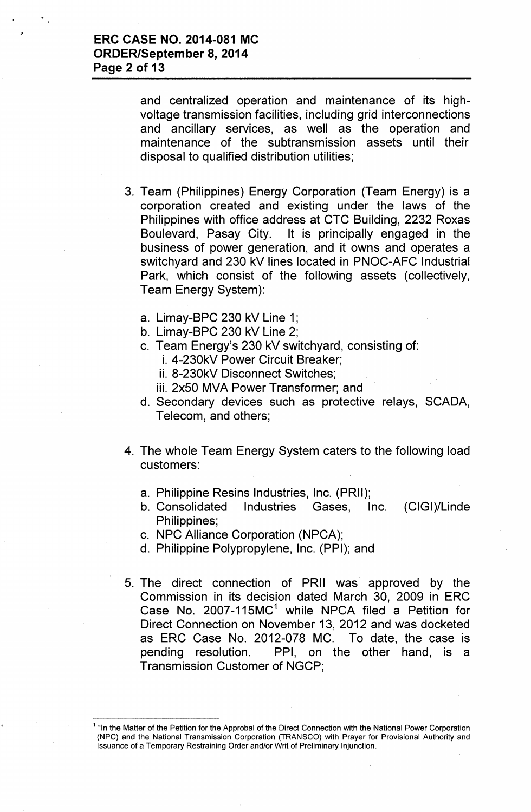and centralized operation and maintenance of its highvoltage transmission facilities, including grid interconnections and ancillary services, as well as the operation and maintenance of the subtransmission assets until their disposal to qualified distribution utilities;

- 3. Team (Philippines) Energy Corporation (Team Energy) is a corporation created and existing under the laws of the Philippines with office address at CTC Building, 2232 Roxas Boulevard, Pasay City. It is principally engaged in the business of power generation, and it owns and operates a switchyard and 230 kV lines located in PNOC-AFC Industrial Park, which consist of the following assets (collectively, Team Energy System):
	- a. Limay-BPC 230 kV Line 1;
	- b. Limay-BPC 230 kV Line 2;
	- c. Team Energy's 230 kV switchyard, consisting of:
		- i. 4-230kV Power Circuit Breaker;
		- ii. 8-230kV Disconnect Switches;
		- iii. 2x50 MVA Power Transformer; and
	- d. Secondary devices such as protective relays, SCADA, Telecom, and others;
- 4. The whole Team Energy System caters to the following load customers:
	- a. Philippine Resins Industries, Inc. (PRII);
	- b. Consolidated Industries Gases, Inc. (CIGI)/Linde Philippines;
	- c. NPC Alliance Corporation (NPCA);
	- d. Philippine Polypropylene, Inc. (PPI); and
- 5. The direct connection of PRII was approved by the Commission in its decision dated March 30, 2009 in ERC Case No. 2007-115 $MC<sup>1</sup>$  while NPCA filed a Petition for Direct Connection on November 13, 2012 and was docketed as ERC Case No. 2012-078 MC. To date, the case is pending resolution. PPI, on the other hand, is a Transmission Customer of NGCP;

<sup>&</sup>lt;sup>1</sup> "In the Matter of the Petition for the Approbal of the Direct Connection with the National Power Corporation (NPC) and the National Transmission Corporation (TRANSCO) with Prayer for Provisional Authority and Issuance of a Temporary Restraining Order and/or Writ of Preliminary Injunction.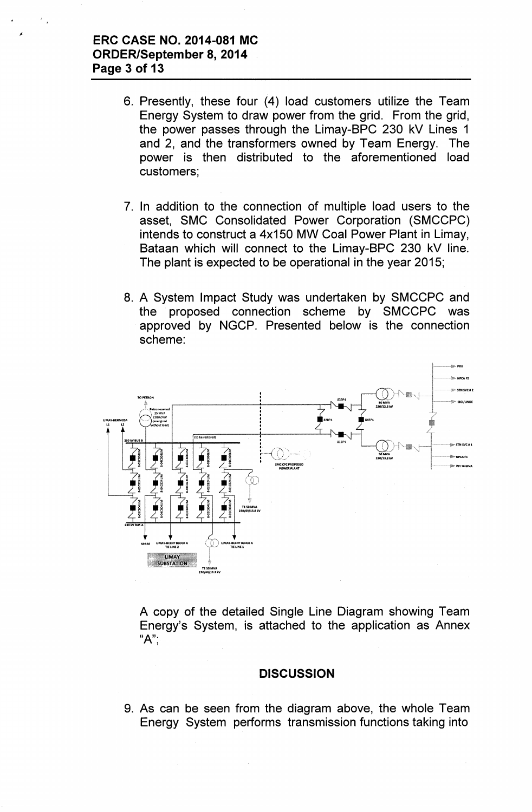## **ERC CASE NO. 2014-081 MC ORDER/September 8, 2014 Page 3 of 13**

- 6. Presently, these four (4) load customers utilize the Team Energy System to draw power from the grid. From the grid, the power passes through the Limay-BPC 230 kV Lines 1 and 2, and the transformers owned by Team Energy. The power is then distributed to the aforementioned load customers;
- 7. In addition to the connection of multiple load users to the asset, SMC Consolidated Power Corporation (SMCCPC) intends to construct a 4x150 MW Coal Power Plant in Limay, Bataan which will connect to the Limay-BPC 230 kV line. The plant is expected to be operational in the year 2015;
- 8. A System Impact Study was undertaken by SMCCPC and the proposed connection scheme by SMCCPC was approved by NGCP. Presented below is the connection scheme:



A copy of the detailed Single Line Diagram showing Team Energy's System, is attached to the application as Annex "A"',

## **DISCUSSION**

9. As can be seen from the diagram above, the whole Team Energy System performs transmission functions taking into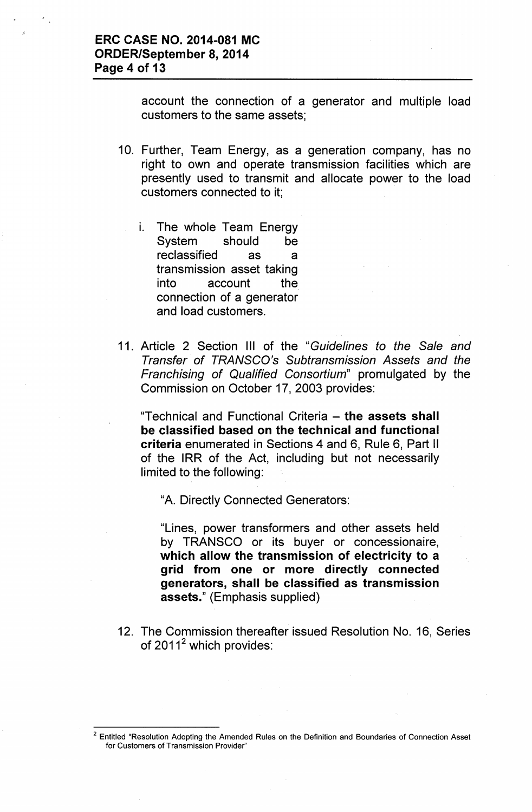account the connection of a generator and multiple load customers to the same assets;

- 10. Further, Team Energy, as a generation company, has no right to own and operate transmission facilities which are presently used to transmit and allocate power to the load customers connected to it;
	- i. The whole Team Energy System should be reclassified as a transmission asset taking into account the connection of a generator and load customers.
- 11. Article 2 Section III of the "*Guidelines to the Sale and Transfer of TRANSCO's Subtransmission Assets and the Franchising of Qualified Consortium"* promulgated by the Commission on October 17, 2003 provides:

"Technical and Functional Criteria - the assets shall be classified based on the technical and functional criteria enumerated in Sections 4 and 6, Rule 6, Part II of the IRR of the Act, including but not necessarily limited to the following:

"A. Directly Connected Generators:

"Lines, power transformers and other assets held by TRANSCO or its buyer or concessionaire, which allow the transmission of electricity to a grid from one or more directly connected generators, shall be classified as transmission assets." (Emphasis supplied)

12. The Commission thereafter issued Resolution No. 16, Series of  $2011^2$  which provides:

 $2$  Entitled "Resolution Adopting the Amended Rules on the Definition and Boundaries of Connection Asset for Customers of Transmission Provider"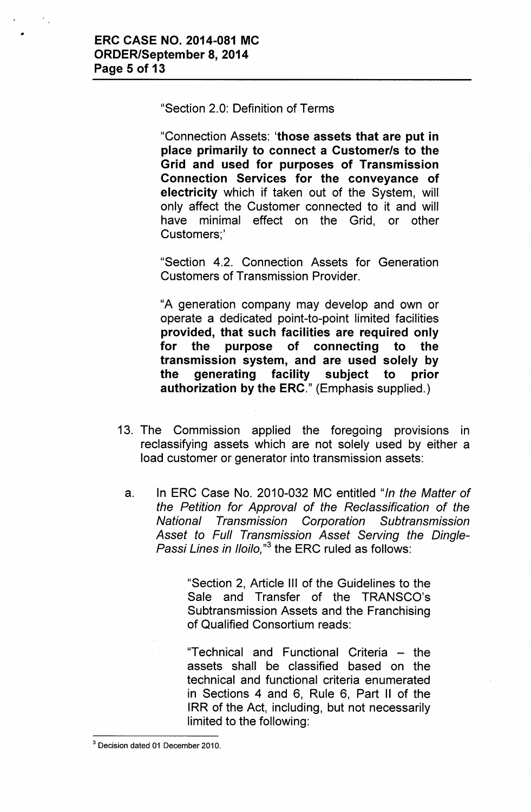"Section 2.0: Definition of Terms

"Connection Assets: 'those assets that are put in place primarily to connect a *Customerls* to the Grid and used for purposes of Transmission Connection Services for the conveyance of electricity which if taken out of the System, will only affect the Customer connected to it and will have minimal effect on the Grid, or other Customers;'

"Section 4.2. Connection Assets for Generation Customers of Transmission Provider.

"A generation company may develop and own or operate a dedicated point-to-point limited facilities provided, that such facilities are required only for the purpose of connecting to the transmission system, and are used solely by the generating facility subject to prior authorization by the ERC." (Emphasis supplied.)

- 13. The Commission applied the foregoing provisions in reclassifying assets which are not solely used by either a load customer or generator into transmission assets:
	- a. In ERC Case No. 2010-032 MC entitled *"In the Matter of the Petition for Approval of the Reclassification of the National Transmission Corporation Subtransmission Asset to Full Transmission Asset Serving the Dingle-Passi Lines in l/oilo,"3* the ERC ruled as follows:

"Section 2, Article III of the Guidelines to the Sale and Transfer of the TRANSCO's Subtransmission Assets and the Franchising of Qualified Consortium reads:

"Technical and Functional Criteria - the assets shall be classified based on the technical and functional criteria enumerated in Sections 4 and 6, Rule 6, Part II of the IRR of the Act, including, but not necessarily limited to the following:

<sup>3</sup> Decision dated 01 December 2010.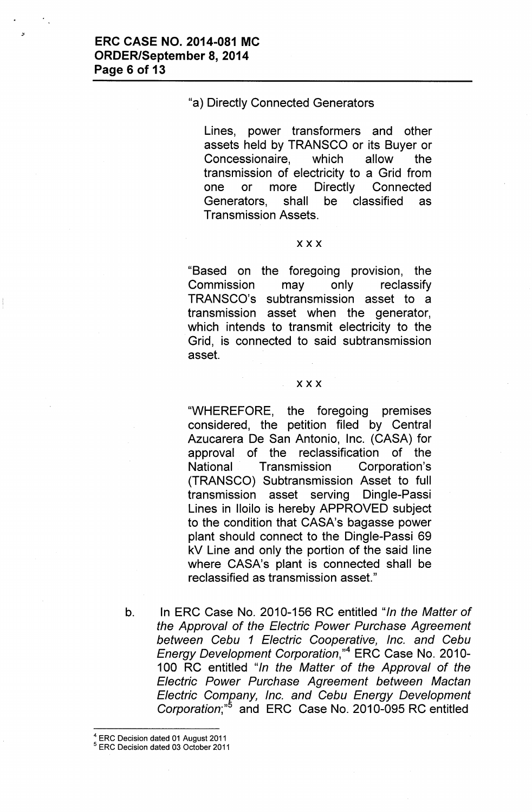### "a) Directly Connected Generators

Lines, power transformers and other assets held by TRANSCO or its Buyer or Concessionaire, which allow the transmission of electricity to a Grid from one or more Directly Connected Generators, shall be classified as Transmission Assets.

#### xxx

"Based on the foregoing provision, the Commission may only reclassify TRANSCO's subtransmission asset to a transmission asset when the generator, which intends to transmit electricity to the Grid, is connected to said subtransmission asset.

#### xxx

"WHEREFORE, the foregoing premises considered, the petition filed by Central Azucarera De San Antonio, Inc. (CASA) for approval of the reclassification of the National Transmission Corporation's (TRANSCO) Subtransmission Asset to full transmission asset serving Dingle-Passi Lines in Iloilo is hereby APPROVED subject to the condition that CASA's bagasse power plant should connect to the Dingle-Passi 69 kV Line and only the portion of the said line where CASA's plant is connected shall be reclassified as transmission asset."

- b. In ERC Case No. 2010-156 RC entitled "*In the Matter of the Approval of the Electric Power Purchase Agreement between Cebu* 1 *Electric Cooperative, Inc. and Cebu Energy Development Corporation*,"<sup>4</sup> ERC Case No. 2010-100 RC entitled *Uln the Matter of the Approval of the Electric Power Purchase Agreement between Mactan Electric Comrany, Inc. and Cebu Energy Development Corporation;"* and ERC Case No. 2010-095 RC entitled
- <sup>4</sup> ERC Decision dated 01 August 2011

<sup>5</sup> ERC Decision dated 03 October 2011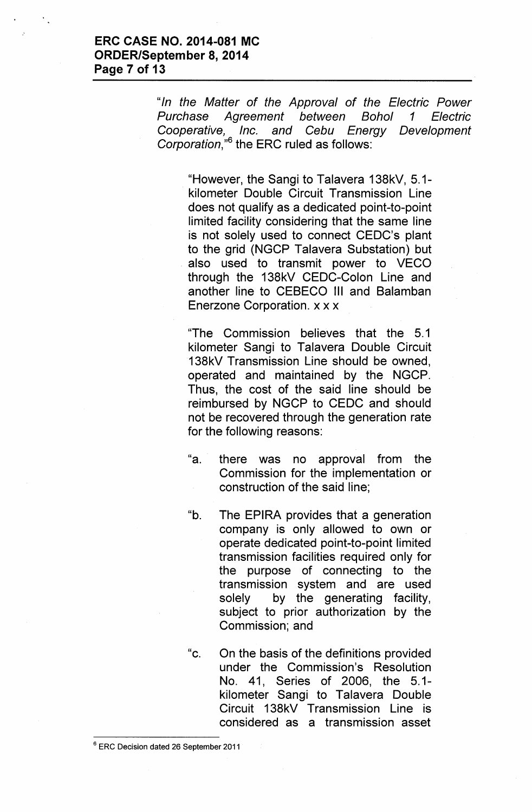*"In the Matter of the Approval of the Electric Power Purchase Agreement between Bohol* 1 *Electric Cooperative, Inc. and Cebu Energy Development Corporation,"6* the ERC ruled as follows:

"However, the Sangi to Talavera 138kV, 5.1 kilometer Double Circuit Transmission Line does not qualify as a dedicated point-to-point limited facility considering that the same line is not solely used to connect CEDC's plant to the grid (NGCP Talavera Substation) but also used to transmit power to VECO through the 138kV CEDC-Colon Line and another line to CEBECO III and Balamban Enerzone Corporation. x x x

"The Commission believes that the 5.1 kilometer Sangi to Talavera Double Circuit 138kV Transmission Line should be owned, operated and maintained by the NGCP. Thus, the cost of the said line should be reimbursed by NGCP to CEDC and should not be recovered through the generation rate for the following reasons:

- "a. there was no approval from the Commission for the implementation or construction of the said line;
- "b. The EPIRA provides that a generation company is only allowed to own or operate dedicated point-to-point limited transmission facilities required only for the purpose of connecting to the transmission system and are used solely by the generating facility, subject to prior authorization by the Commission; and
- "c. On the basis of the definitions provided under the Commission's Resolution No. 41, Series of 2006, the 5.1 kilometer Sangi to Talavera Double Circuit 138kV Transmission Line is considered as a transmission asset

<sup>6</sup> ERC Decision dated 26 September 2011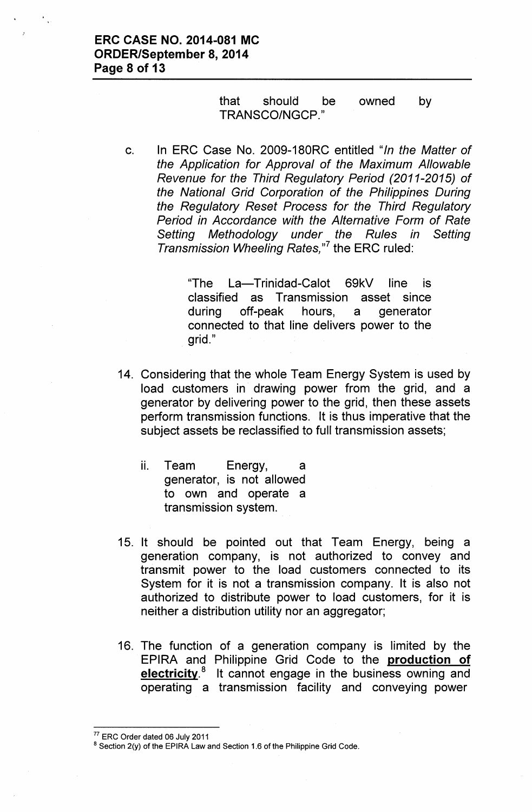#### that should be TRANSCO/NGCP." owned by

c. In ERC Case No. 2009-180RC entitled *"In the Matter of the Application for Approval of the Maximum Allowable Revenue for the Third Regulatory Period (2011-2015) of the National Grid Corporation of the Philippines During the Regulatory Reset Process for the Third Regulatory Period in Accordance with the Alternative Form of Rate Setting Methodology under the Rules in Setting Transmission Wheeling Rates,"?* the ERC ruled:

> "The La-Trinidad-Calot 69kV line is classified as Transmission asset since during off-peak hours, a generator connected to that line delivers power to the grid."

- 14. Considering that the whole Team Energy System is used by load customers in. drawing power from the grid, and a generator by delivering power to the grid, then these assets perform transmission functions. It is thus imperative that the subject assets be reclassified to full transmission assets;
	- ii. Team Energy, a generator, is not allowed to own and operate a transmission system.
- 15. It should be pointed out that Team Energy, being a generation company, is not authorized to convey and transmit power to the load customers connected to its System for it is not a transmission company. It is also not authorized to distribute power to load customers, for it is neither a distribution utility nor an aggregator;
- 16. The function of a generation company is limited by the EPIRA and Philippine Grid Code to the production of electricity.<sup>8</sup> It cannot engage in the business owning and operating a transmission facility and conveying power

<sup>77</sup> ERC Order dated 06 July 2011

<sup>&</sup>lt;sup>8</sup> Section 2(y) of the EPIRA Law and Section 1.6 of the Philippine Grid Code.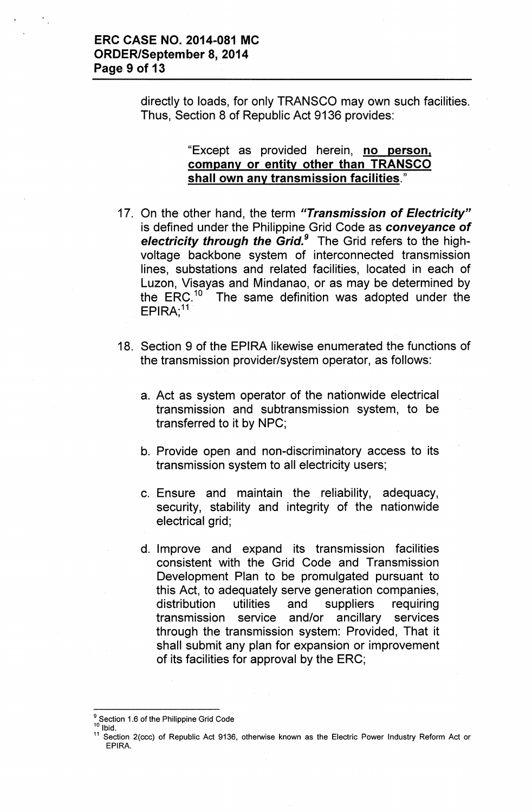directly to loads, for only TRANSCO may own such facilities. Thus, Section 8 of Republic Act 9136 provides:

## "Except as provided herein, no person, company or entity other than TRANSCO shall own any transmission facilities."

- 17. On the other hand, the term *"Transmission of Electricity"* is defined under the Philippine Grid Code as *conveyance of electricity through the Grid.<sup>9</sup>* The Grid refers to the highvoltage backbone system of interconnected transmission lines, substations and related facilities, located in each of Luzon, Visayas and Mindanao, or as may be determined by the  $ERC<sup>10</sup>$  The same definition was adopted under the  $\mathsf{EPIRA};$   $^1$
- 18. Section 9 of the EPIRA likewise enumerated the functions of the transmission provider/system operator, as follows:
	- a. Act as system operator of the nationwide electrical transmission and subtransmission system, to be transferred to it by NPC;
	- b. Provide open and non-discriminatory access to its transmission system to all electricity users;
	- c. Ensure and maintain the reliability, adequacy, security, stability and integrity of the nationwide electrical grid;
	- d. Improve and expand its transmission facilities consistent with the Grid Code and Transmission Development Plan to be promulgated pursuant to this Act, to adequately serve generation companies, distribution utilities and suppliers requiring transmission service and/or ancillary services through the transmission system: Provided, That it shall submit any plan for expansion or improvement of its facilities for approval by the ERC;

<sup>&</sup>lt;sup>9</sup> Section 1.6 of the Philippine Grid Code

Ibid.

 $11$  Section 2(ccc) of Republic Act 9136, otherwise known as the Electric Power Industry Reform Act or EPIRA.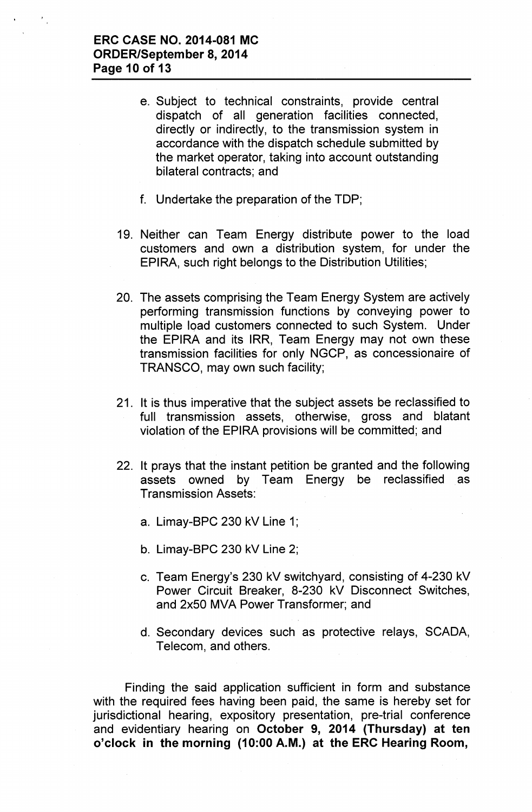- e. Subject to technical constraints, provide central dispatch of all generation facilities connected, directly or indirectly, to the transmission system in accordance with the dispatch schedule submitted by the market operator, taking into account outstanding bilateral contracts; and
- f. Undertake the preparation of the TOP;
- 19. Neither can Team Energy distribute power to the load customers and own a distribution system, for under the EPIRA, such right belongs to the Distribution Utilities;
- 20. The assets comprising the Team Energy System are actively performing transmission functions by conveying power to multiple load customers connected to such System. Under the EPIRA and its IRR, Team Energy may not own these transmission facilities for only NGCP, as concessionaire of TRANSCO, may own such facility;
- 21. It is thus imperative that the subject assets be reclassified to full transmission assets, otherwise, gross and blatant violation of the EPIRA provisions will be committed; and
- 22. It prays that the instant petition be granted and the following assets owned by Team Energy be reclassified as Transmission Assets:
	- a. Limay-BPC 230 kV Line 1;
	- b. Limay-BPC 230 kV Line 2;
	- c. Team Energy's 230 kV switchyard, consisting of 4-230 kV Power Circuit Breaker, 8-230 kV Disconnect Switches, and 2x50 MVA Power Transformer; and
	- d. Secondary devices such as protective relays, SCADA, Telecom, and others.

Finding the said application sufficient in form and substance with the required fees having been paid, the same is hereby set for jurisdictional hearing, expository presentation, pre-trial conference and evidentiary hearing on October 9, 2014 (Thursday) at ten o'clock in the morning (10:00 A.M.) at the ERC Hearing Room,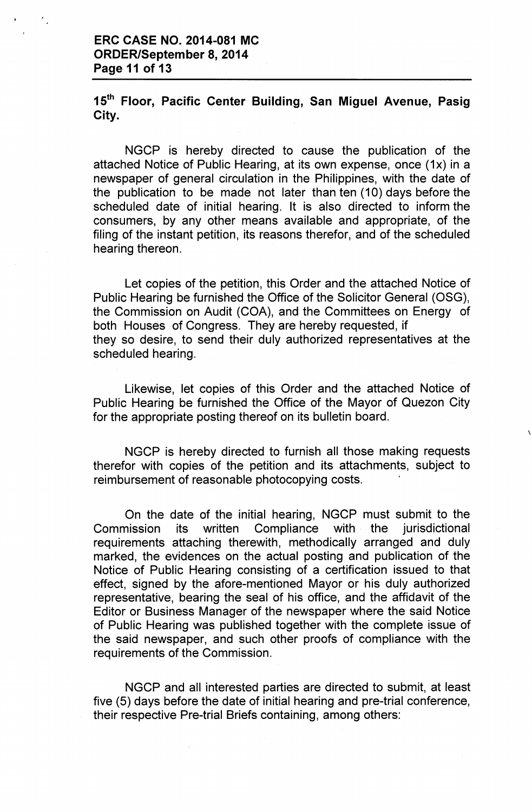15<sup>th</sup> Floor, Pacific Center Building, San Miguel Avenue, Pasig City.

NGCP is hereby directed to cause the publication of the attached Notice of Public Hearing, at its own expense, once (1x) in a newspaper of general circulation in the Philippines, with the date of the publication to be made not later than ten (10) days before the scheduled date of initial hearing. It is also directed to inform the consumers, by any other means available and appropriate, of the filing of the instant petition, its reasons therefor, and of the scheduled hearing thereon.

Let copies of the petition, this Order and the attached Notice of Public Hearing be furnished the Office of the Solicitor General (OSG), the Commission on Audit (COA), and the Committees on Energy of both Houses of Congress. They are hereby requested, if they so desire, to send their duly authorized representatives at the scheduled hearing.

Likewise, let copies of this Order and the attached Notice of Public Hearing be furnished the Office of the Mayor of Quezon City for the appropriate posting thereof on its bulletin board.

NGCP is hereby directed to furnish all those making requests therefor with copies of the petition and its attachments, subject to reimbursement of reasonable photocopying costs.

On the date of the initial hearing, NGCP must submit to the Commission its written Compliance with the jurisdictional requirements attaching therewith, methodically arranged and duly marked, the evidences on the actual posting and publication of the Notice of Public Hearing consisting of a certification issued to that effect, signed by the afore-mentioned Mayor or his duly authorized representative, bearing the seal of his office, and the affidavit of the Editor or Business Manager of the newspaper where the said Notice of Public Hearing was published together with the complete issue of the said newspaper, and such other proofs of compliance with the requirements of the Commission.

NGCP and all interested parties are directed to submit, at least five (5) days before the date of initial hearing and pre-trial conference, their respective Pre-trial Briefs containing, among others: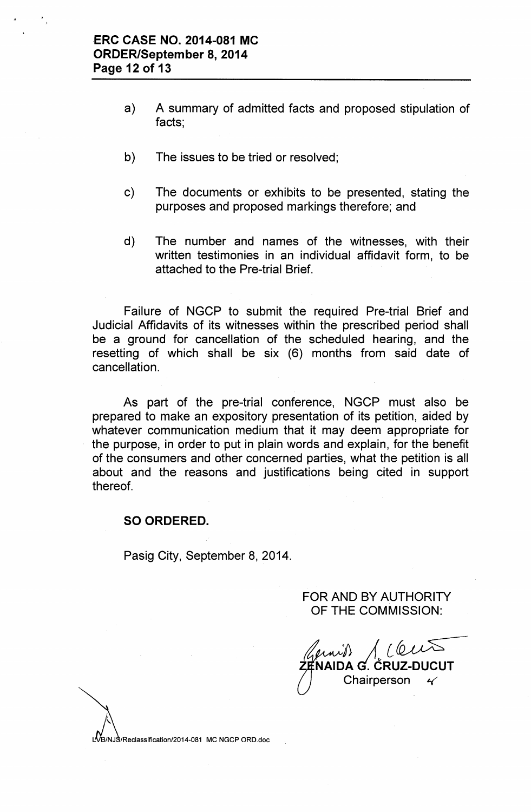- a) A summary of admitted facts and proposed stipulation of facts;
- b) The issues to be tried or resolved;
- c) The documents or exhibits to be presented, stating the purposes and proposed markings therefore; and
- d) The number and names of the witnesses, with their written testimonies in an individual affidavit form, to be attached to the Pre-trial Brief.

Failure of NGCP to submit the required Pre-trial Brief and Judicial Affidavits of its witnesses within the prescribed period shall be a ground for cancellation of the scheduled hearing, and the resetting of which shall be six (6) months from said date of cancellation.

As part of the pre-trial conference, NGCP must also be prepared to make an expository presentation of its petition, aided by whatever communication medium that it may deem appropriate for the purpose, in order to put in plain words and explain, for the benefit of the consumers and other concerned parties, what the petition is all about and the reasons and justifications being cited in support thereof.

## SO ORDERED.

Pasig City, September 8, 2014.

FOR AND BY AUTHORITY OF THE COMMISSION:

*1> j [~* NAIDA G. ČRUZ-DUCUT Chairperson ~

 $\dot{N}$ B/NJ $\dot{S}$ /Reclassification/2014-081 MC NGCP ORD.doc